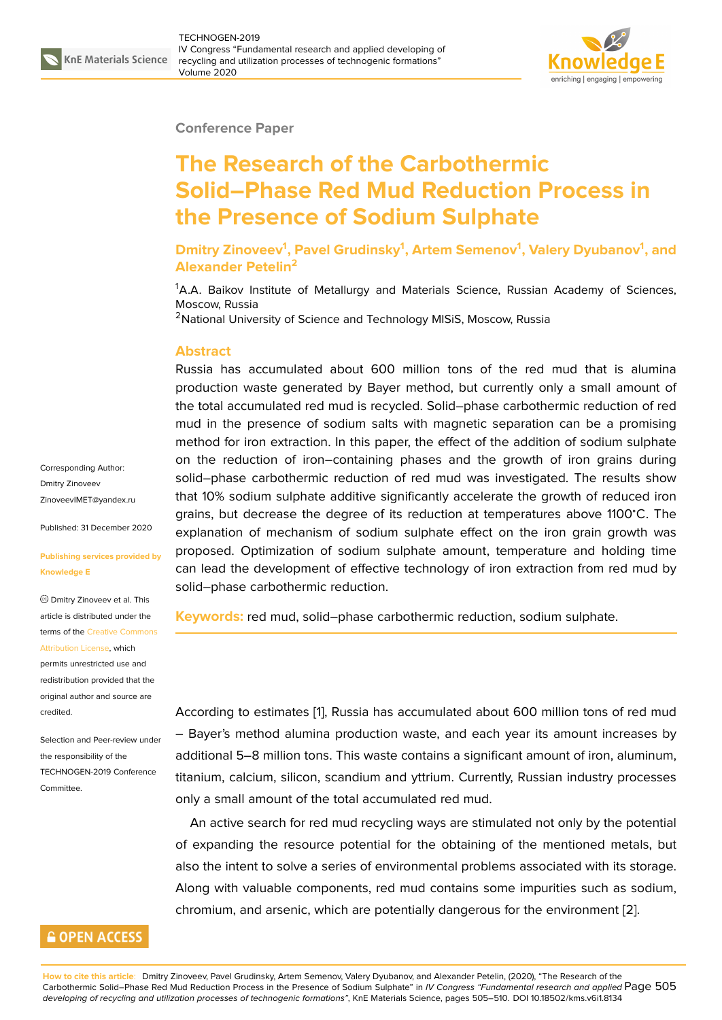

#### **Conference Paper**

# **The Research of the Carbothermic Solid–Phase Red Mud Reduction Process in the Presence of Sodium Sulphate**

**Dmitry Zinoveev<sup>1</sup> , Pavel Grudinsky<sup>1</sup> , Artem Semenov<sup>1</sup> , Valery Dyubanov<sup>1</sup> , and Alexander Petelin<sup>2</sup>**

<sup>1</sup>A.A. Baikov Institute of Metallurgy and Materials Science, Russian Academy of Sciences, Moscow, Russia

<sup>2</sup>National University of Science and Technology MISiS, Moscow, Russia

### **Abstract**

Russia has accumulated about 600 million tons of the red mud that is alumina production waste generated by Bayer method, but currently only a small amount of the total accumulated red mud is recycled. Solid–phase carbothermic reduction of red mud in the presence of sodium salts with magnetic separation can be a promising method for iron extraction. In this paper, the effect of the addition of sodium sulphate on the reduction of iron–containing phases and the growth of iron grains during solid–phase carbothermic reduction of red mud was investigated. The results show that 10% sodium sulphate additive significantly accelerate the growth of reduced iron grains, but decrease the degree of its reduction at temperatures above 1100<sup>∘</sup>C. The explanation of mechanism of sodium sulphate effect on the iron grain growth was proposed. Optimization of sodium sulphate amount, temperature and holding time can lead the development of effective technology of iron extraction from red mud by solid–phase carbothermic reduction.

**Keywords:** red mud, solid–phase carbothermic reduction, sodium sulphate.

According to estimates [1], Russia has accumulated about 600 million tons of red mud – Bayer's method alumina production waste, and each year its amount increases by additional 5–8 million tons. This waste contains a significant amount of iron, aluminum, titanium, calcium, silico[n,](#page-4-0) scandium and yttrium. Currently, Russian industry processes only a small amount of the total accumulated red mud.

An active search for red mud recycling ways are stimulated not only by the potential of expanding the resource potential for the obtaining of the mentioned metals, but also the intent to solve a series of environmental problems associated with its storage. Along with valuable components, red mud contains some impurities such as sodium, chromium, and arsenic, which are potentially dangerous for the environment [2].

Corresponding Author: Dmitry Zinoveev ZinoveevIMET@yandex.ru

Published: 31 December 2020

#### **[Publishing services provid](mailto:ZinoveevIMET@yandex.ru)ed by Knowledge E**

Dmitry Zinoveev et al. This article is distributed under the terms of the Creative Commons Attribution License, which

permits unrestricted use and redistribution provided that the original auth[or and source are](https://creativecommons.org/licenses/by/4.0/) [credited.](https://creativecommons.org/licenses/by/4.0/)

Selection and Peer-review under the responsibility of the TECHNOGEN-2019 Conference Committee.

## **GOPEN ACCESS**

**How to cite this article**: Dmitry Zinoveev, Pavel Grudinsky, Artem Semenov, Valery Dyubanov, and Alexander Petelin, (2020), "The Research of the Carbothermic Solid–Phase Red Mud Reduction Process in the Presence of Sodium Sulphate" in *IV Congress "Fundamental research and applied* Page 505 *developing of recycling and utilization processes of technogenic formations"*, KnE Materials Science, pages 505–510. DOI 10.18502/kms.v6i1.8134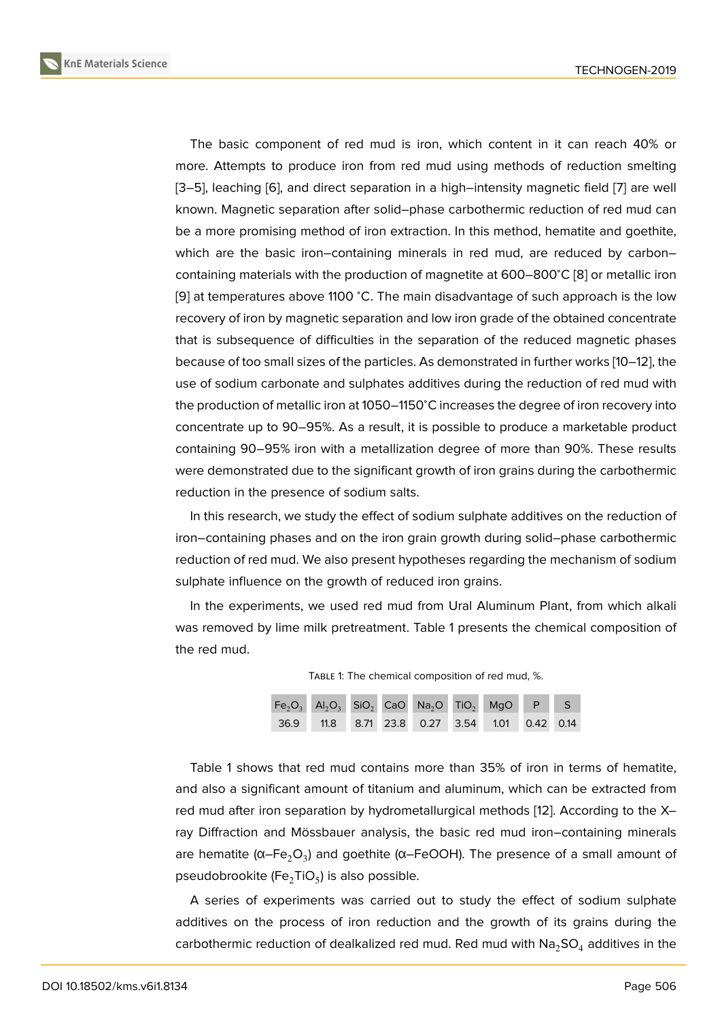The basic component of red mud is iron, which content in it can reach 40% or more. Attempts to produce iron from red mud using methods of reduction smelting [3–5], leaching [6], and direct separation in a high–intensity magnetic field [7] are well known. Magnetic separation after solid–phase carbothermic reduction of red mud can be a more promising method of iron extraction. In this method, hematite and goethite, [wh](#page-4-1)[ich](#page-4-2) are the [ba](#page-4-3)sic iron–containing minerals in red mud, are reduced b[y](#page-4-4) carbon– containing materials with the production of magnetite at 600–800<sup>∘</sup>C [8] or metallic iron [9] at temperatures above 1100 °C. The main disadvantage of such approach is the low recovery of iron by magnetic separation and low iron grade of the obtained concentrate that is subsequence of difficulties in the separation of the reduced [m](#page-4-5)agnetic phases [be](#page-4-6)cause of too small sizes of the particles. As demonstrated in further works [10–12], the use of sodium carbonate and sulphates additives during the reduction of red mud with the production of metallic iron at 1050–1150<sup>∘</sup>C increases the degree of iron recovery into concentrate up to 90–95%. As a result, it is possible to produce a marketa[ble](#page-4-7) [pro](#page-4-8)duct containing 90–95% iron with a metallization degree of more than 90%. These results were demonstrated due to the significant growth of iron grains during the carbothermic reduction in the presence of sodium salts.

In this research, we study the effect of sodium sulphate additives on the reduction of iron–containing phases and on the iron grain growth during solid–phase carbothermic reduction of red mud. We also present hypotheses regarding the mechanism of sodium sulphate influence on the growth of reduced iron grains.

In the experiments, we used red mud from Ural Aluminum Plant, from which alkali was removed by lime milk pretreatment. Table 1 presents the chemical composition of the red mud.

TABLE 1: The chemical composition of red mud, %.



Table 1 shows that red mud contains more than 35% of iron in terms of hematite, and also a significant amount of titanium and aluminum, which can be extracted from red mud after iron separation by hydrometallurgical methods [12]. According to the X– ray Diffraction and Mössbauer analysis, the basic red mud iron–containing minerals are hematite (α–Fe $_{2}$ O $_{3}$ ) and goethite (α–FeOOH). The presence of a small amount of pseudobrookite (Fe $_2$ TiO $_5$ ) is also possible.

A series of experiments was carried out to study the effect of sodium sulphate additives on the process of iron reduction and the growth of its grains during the carbothermic reduction of dealkalized red mud. Red mud with  $Na<sub>2</sub>SO<sub>4</sub>$  additives in the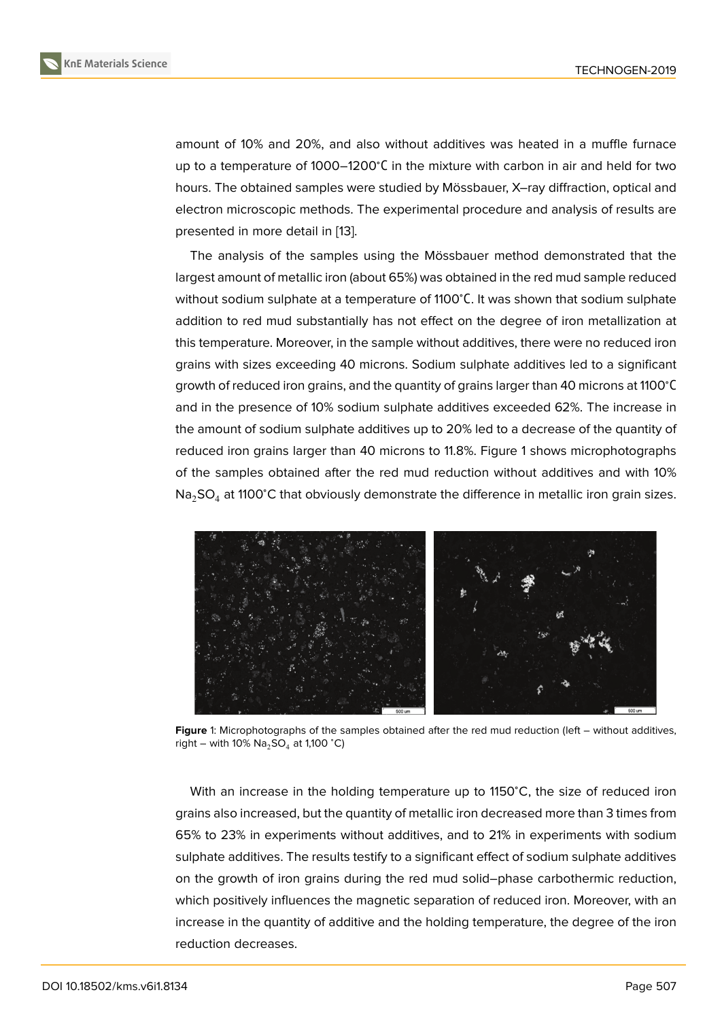amount of 10% and 20%, and also without additives was heated in a muffle furnace up to a temperature of 1000–1200<sup>∘</sup>С in the mixture with carbon in air and held for two hours. The obtained samples were studied by Mössbauer, X–ray diffraction, optical and electron microscopic methods. The experimental procedure and analysis of results are presented in more detail in [13].

The analysis of the samples using the Mössbauer method demonstrated that the largest amount of metallic iron (about 65%) was obtained in the red mud sample reduced without sodium sulphate at [a te](#page-4-9)mperature of 1100°C. It was shown that sodium sulphate addition to red mud substantially has not effect on the degree of iron metallization at this temperature. Moreover, in the sample without additives, there were no reduced iron grains with sizes exceeding 40 microns. Sodium sulphate additives led to a significant growth of reduced iron grains, and the quantity of grains larger than 40 microns at 1100<sup>∘</sup>С and in the presence of 10% sodium sulphate additives exceeded 62%. The increase in the amount of sodium sulphate additives up to 20% led to a decrease of the quantity of reduced iron grains larger than 40 microns to 11.8%. Figure 1 shows microphotographs of the samples obtained after the red mud reduction without additives and with 10% Na<sub>2</sub>SO<sub>4</sub> at 1100°C that obviously demonstrate the difference in metallic iron grain sizes.



**Figure** 1: Microphotographs of the samples obtained after the red mud reduction (left – without additives, right – with 10%  $Na<sub>2</sub>SO<sub>4</sub>$  at 1,100 °C)

With an increase in the holding temperature up to 1150<sup>∘</sup>C, the size of reduced iron grains also increased, but the quantity of metallic iron decreased more than 3 times from 65% to 23% in experiments without additives, and to 21% in experiments with sodium sulphate additives. The results testify to a significant effect of sodium sulphate additives on the growth of iron grains during the red mud solid–phase carbothermic reduction, which positively influences the magnetic separation of reduced iron. Moreover, with an increase in the quantity of additive and the holding temperature, the degree of the iron reduction decreases.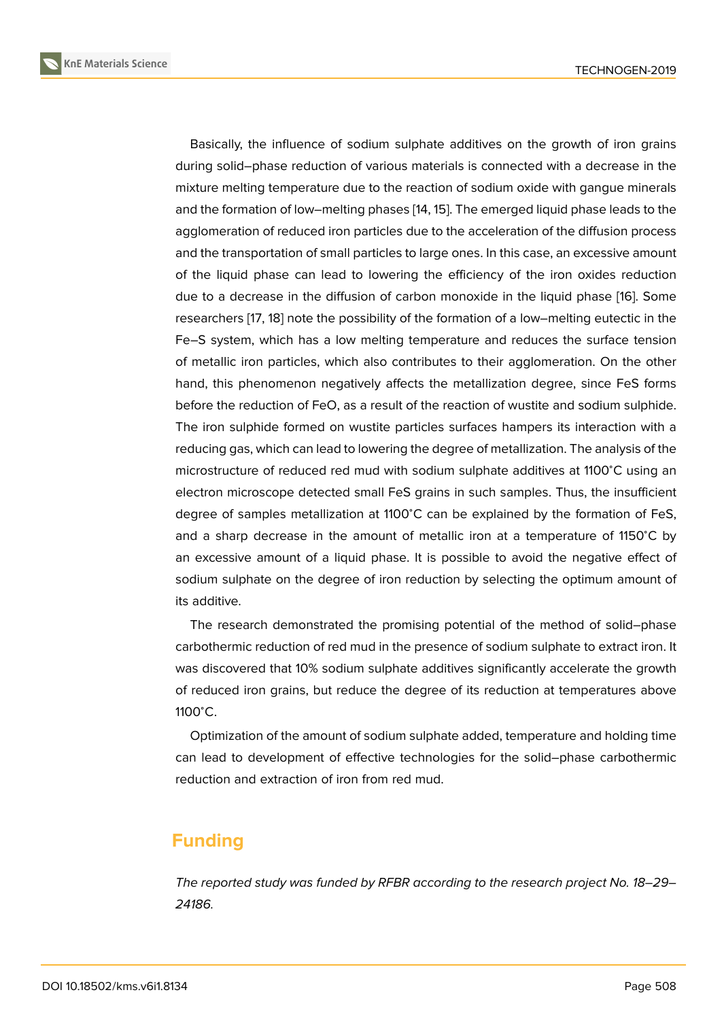Basically, the influence of sodium sulphate additives on the growth of iron grains during solid–phase reduction of various materials is connected with a decrease in the mixture melting temperature due to the reaction of sodium oxide with gangue minerals and the formation of low–melting phases [14, 15]. The emerged liquid phase leads to the agglomeration of reduced iron particles due to the acceleration of the diffusion process and the transportation of small particles to large ones. In this case, an excessive amount of the liquid phase can lead to lowerin[g t](#page-5-0)[he](#page-5-1) efficiency of the iron oxides reduction due to a decrease in the diffusion of carbon monoxide in the liquid phase [16]. Some researchers [17, 18] note the possibility of the formation of a low–melting eutectic in the Fe–S system, which has a low melting temperature and reduces the surface tension of metallic iron particles, which also contributes to their agglomeration. On [th](#page-5-2)e other hand, this p[hen](#page-5-3)[om](#page-5-4)enon negatively affects the metallization degree, since FeS forms before the reduction of FeO, as a result of the reaction of wustite and sodium sulphide. The iron sulphide formed on wustite particles surfaces hampers its interaction with a reducing gas, which can lead to lowering the degree of metallization. The analysis of the microstructure of reduced red mud with sodium sulphate additives at 1100<sup>∘</sup>C using an electron microscope detected small FeS grains in such samples. Thus, the insufficient degree of samples metallization at 1100<sup>∘</sup>C can be explained by the formation of FeS, and a sharp decrease in the amount of metallic iron at a temperature of 1150<sup>∘</sup>C by an excessive amount of a liquid phase. It is possible to avoid the negative effect of sodium sulphate on the degree of iron reduction by selecting the optimum amount of its additive.

The research demonstrated the promising potential of the method of solid–phase carbothermic reduction of red mud in the presence of sodium sulphate to extract iron. It was discovered that 10% sodium sulphate additives significantly accelerate the growth of reduced iron grains, but reduce the degree of its reduction at temperatures above 1100<sup>∘</sup>C.

Optimization of the amount of sodium sulphate added, temperature and holding time can lead to development of effective technologies for the solid–phase carbothermic reduction and extraction of iron from red mud.

## **Funding**

*The reported study was funded by RFBR according to the research project No. 18–29– 24186.*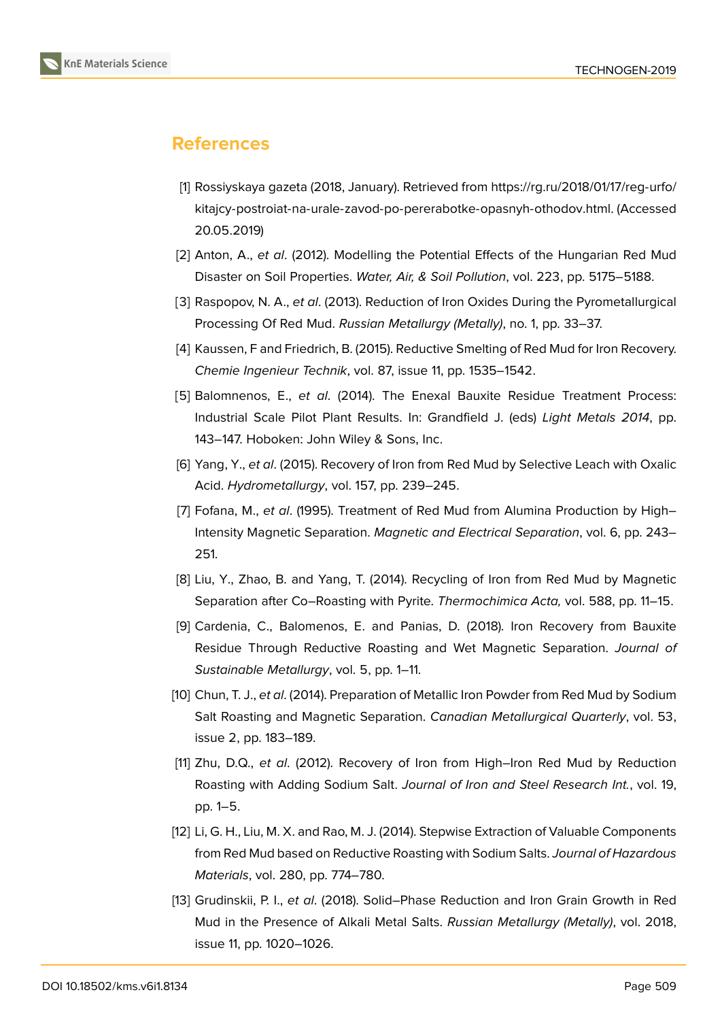## **References**

- [1] Rossiyskaya gazeta (2018, January). Retrieved from https://rg.ru/2018/01/17/reg-urfo/ kitajcy-postroiat-na-urale-zavod-po-pererabotke-opasnyh-othodov.html. (Accessed 20.05.2019)
- <span id="page-4-0"></span>[2] Anton, A., *et al*. (2012). Modelling the Potential Eff[ects of the Hungarian Red Mud](https://rg.ru/2018/01/17/reg-urfo/kitajcy-postroiat-na-urale-zavod-po-pererabotke-opasnyh-othodov.html) [Disaster on Soil Properties.](https://rg.ru/2018/01/17/reg-urfo/kitajcy-postroiat-na-urale-zavod-po-pererabotke-opasnyh-othodov.html) *Water, Air, & Soil Pollution*, vol. 223, pp. 5175–5188.
- [3] Raspopov, N. A., *et al*. (2013). Reduction of Iron Oxides During the Pyrometallurgical Processing Of Red Mud. *Russian Metallurgy (Metally)*, no. 1, pp. 33–37.
- <span id="page-4-1"></span>[4] Kaussen, F and Friedrich, B. (2015). Reductive Smelting of Red Mud for Iron Recovery. *Chemie Ingenieur Technik*, vol. 87, issue 11, pp. 1535–1542.
- [5] Balomnenos, E., *et al*. (2014). The Enexal Bauxite Residue Treatment Process: Industrial Scale Pilot Plant Results. In: Grandfield J. (eds) *Light Metals 2014*, pp. 143–147. Hoboken: John Wiley & Sons, Inc.
- <span id="page-4-2"></span>[6] Yang, Y., *et al*. (2015). Recovery of Iron from Red Mud by Selective Leach with Oxalic Acid. *Hydrometallurgy*, vol. 157, pp. 239–245.
- <span id="page-4-3"></span>[7] Fofana, M., *et al*. (1995). Treatment of Red Mud from Alumina Production by High– Intensity Magnetic Separation. *Magnetic and Electrical Separation*, vol. 6, pp. 243– 251.
- <span id="page-4-4"></span>[8] Liu, Y., Zhao, B. and Yang, T. (2014). Recycling of Iron from Red Mud by Magnetic Separation after Co–Roasting with Pyrite. *Thermochimica Acta,* vol. 588, pp. 11–15.
- <span id="page-4-5"></span>[9] Cardenia, C., Balomenos, E. and Panias, D. (2018). Iron Recovery from Bauxite Residue Through Reductive Roasting and Wet Magnetic Separation. *Journal of Sustainable Metallurgy*, vol. 5, pp. 1–11.
- <span id="page-4-6"></span>[10] Chun, T. J., *et al*. (2014). Preparation of Metallic Iron Powder from Red Mud by Sodium Salt Roasting and Magnetic Separation. *Canadian Metallurgical Quarterly*, vol. 53, issue 2, pp. 183–189.
- <span id="page-4-7"></span>[11] Zhu, D.Q., *et al*. (2012). Recovery of Iron from High–Iron Red Mud by Reduction Roasting with Adding Sodium Salt. *Journal of Iron and Steel Research Int.*, vol. 19, pp. 1–5.
- [12] Li, G. H., Liu, M. X. and Rao, M. J. (2014). Stepwise Extraction of Valuable Components from Red Mud based on Reductive Roasting with Sodium Salts. *Journal of Hazardous Materials*, vol. 280, pp. 774–780.
- <span id="page-4-9"></span><span id="page-4-8"></span>[13] Grudinskii, P. I., *et al*. (2018). Solid–Phase Reduction and Iron Grain Growth in Red Mud in the Presence of Alkali Metal Salts. *Russian Metallurgy (Metally)*, vol. 2018, issue 11, pp. 1020–1026.